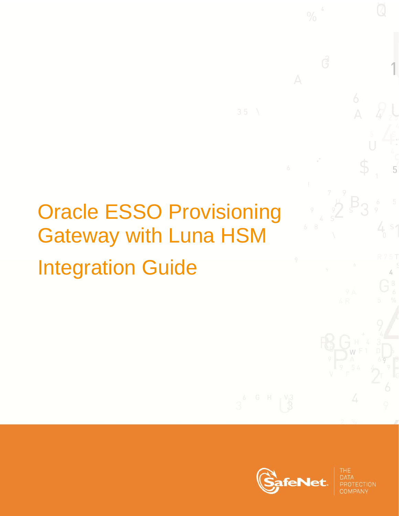# Oracle ESSO Provisioning Gateway with Luna HSM Integration Guide



5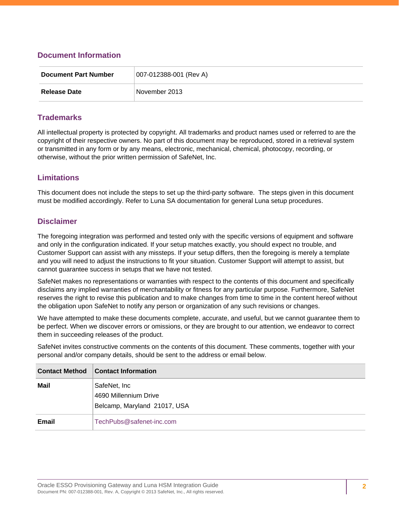#### **Document Information**

| <b>Document Part Number</b> | 007-012388-001 (Rev A) |
|-----------------------------|------------------------|
| <b>Release Date</b>         | November 2013          |

#### **Trademarks**

All intellectual property is protected by copyright. All trademarks and product names used or referred to are the copyright of their respective owners. No part of this document may be reproduced, stored in a retrieval system or transmitted in any form or by any means, electronic, mechanical, chemical, photocopy, recording, or otherwise, without the prior written permission of SafeNet, Inc.

#### **Limitations**

This document does not include the steps to set up the third-party software. The steps given in this document must be modified accordingly. Refer to Luna SA documentation for general Luna setup procedures.

#### **Disclaimer**

The foregoing integration was performed and tested only with the specific versions of equipment and software and only in the configuration indicated. If your setup matches exactly, you should expect no trouble, and Customer Support can assist with any missteps. If your setup differs, then the foregoing is merely a template and you will need to adjust the instructions to fit your situation. Customer Support will attempt to assist, but cannot guarantee success in setups that we have not tested.

SafeNet makes no representations or warranties with respect to the contents of this document and specifically disclaims any implied warranties of merchantability or fitness for any particular purpose. Furthermore, SafeNet reserves the right to revise this publication and to make changes from time to time in the content hereof without the obligation upon SafeNet to notify any person or organization of any such revisions or changes.

We have attempted to make these documents complete, accurate, and useful, but we cannot guarantee them to be perfect. When we discover errors or omissions, or they are brought to our attention, we endeavor to correct them in succeeding releases of the product.

SafeNet invites constructive comments on the contents of this document. These comments, together with your personal and/or company details, should be sent to the address or email below.

| <b>Contact Method</b> | <b>Contact Information</b>                                            |
|-----------------------|-----------------------------------------------------------------------|
| Mail                  | SafeNet, Inc<br>4690 Millennium Drive<br>Belcamp, Maryland 21017, USA |
| Email                 | TechPubs@safenet-inc.com                                              |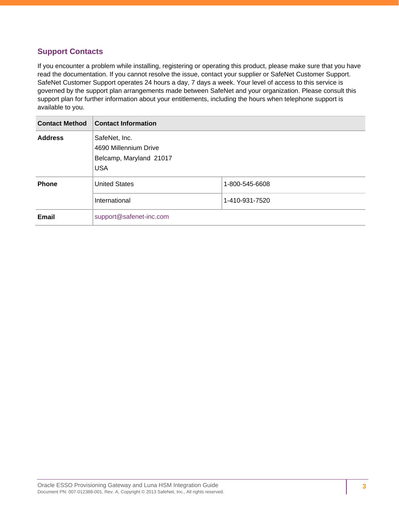#### **Support Contacts**

If you encounter a problem while installing, registering or operating this product, please make sure that you have read the documentation. If you cannot resolve the issue, contact your supplier or SafeNet Customer Support. SafeNet Customer Support operates 24 hours a day, 7 days a week. Your level of access to this service is governed by the support plan arrangements made between SafeNet and your organization. Please consult this support plan for further information about your entitlements, including the hours when telephone support is available to you.

| <b>Contact Method</b> | <b>Contact Information</b>                                                      |                |
|-----------------------|---------------------------------------------------------------------------------|----------------|
| <b>Address</b>        | SafeNet, Inc.<br>4690 Millennium Drive<br>Belcamp, Maryland 21017<br><b>USA</b> |                |
| <b>Phone</b>          | <b>United States</b>                                                            | 1-800-545-6608 |
|                       | International                                                                   | 1-410-931-7520 |
| <b>Email</b>          | support@safenet-inc.com                                                         |                |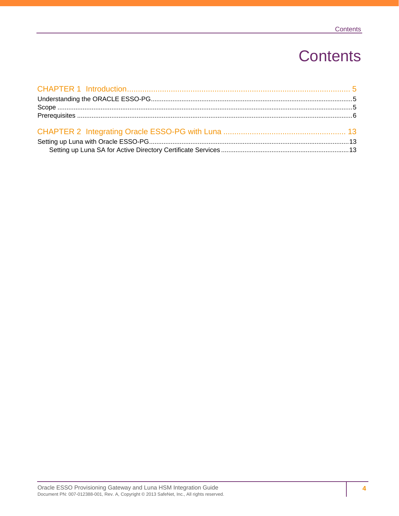# **Contents**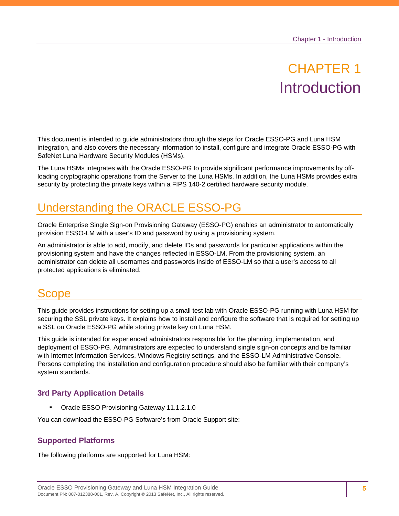# CHAPTER 1 Introduction

<span id="page-4-0"></span>This document is intended to guide administrators through the steps for Oracle ESSO-PG and Luna HSM integration, and also covers the necessary information to install, configure and integrate Oracle ESSO-PG with SafeNet Luna Hardware Security Modules (HSMs).

The Luna HSMs integrates with the Oracle ESSO-PG to provide significant performance improvements by offloading cryptographic operations from the Server to the Luna HSMs. In addition, the Luna HSMs provides extra security by protecting the private keys within a FIPS 140-2 certified hardware security module.

## Understanding the ORACLE ESSO-PG

Oracle Enterprise Single Sign-on Provisioning Gateway (ESSO-PG) enables an administrator to automatically provision ESSO-LM with a user's ID and password by using a provisioning system.

An administrator is able to add, modify, and delete IDs and passwords for particular applications within the provisioning system and have the changes reflected in ESSO-LM. From the provisioning system, an administrator can delete all usernames and passwords inside of ESSO-LM so that a user's access to all protected applications is eliminated.

### Scope

This guide provides instructions for setting up a small test lab with Oracle ESSO-PG running with Luna HSM for securing the SSL private keys. It explains how to install and configure the software that is required for setting up a SSL on Oracle ESSO-PG while storing private key on Luna HSM.

This guide is intended for experienced administrators responsible for the planning, implementation, and deployment of ESSO-PG. Administrators are expected to understand single sign-on concepts and be familiar with Internet Information Services, Windows Registry settings, and the ESSO-LM Administrative Console. Persons completing the installation and configuration procedure should also be familiar with their company's system standards.

#### **3rd Party Application Details**

**Dracle ESSO Provisioning Gateway 11.1.2.1.0** 

You can download the ESSO-PG Software's from Oracle Support site:

#### **Supported Platforms**

The following platforms are supported for Luna HSM: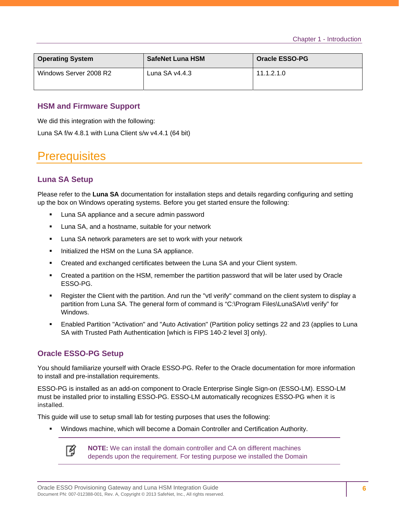<span id="page-5-0"></span>

| <b>Operating System</b> | <b>SafeNet Luna HSM</b> | <b>Oracle ESSO-PG</b> |
|-------------------------|-------------------------|-----------------------|
| Windows Server 2008 R2  | Luna $SA v4.4.3$        | 11.1.2.1.0            |

#### **HSM and Firmware Support**

We did this integration with the following:

Luna SA f/w 4.8.1 with Luna Client s/w v4.4.1 (64 bit)

### **Prerequisites**

#### **Luna SA Setup**

Please refer to the **Luna SA** documentation for installation steps and details regarding configuring and setting up the box on Windows operating systems. Before you get started ensure the following:

- **Luna SA appliance and a secure admin password**
- **Luna SA, and a hostname, suitable for your network**
- **EXECT** Luna SA network parameters are set to work with your network
- Initialized the HSM on the Luna SA appliance.
- **EXECT** Created and exchanged certificates between the Luna SA and your Client system.
- Created a partition on the HSM, remember the partition password that will be later used by Oracle ESSO-PG.
- Register the Client with the partition. And run the "vtl verify" command on the client system to display a partition from Luna SA. The general form of command is "C:\Program Files\LunaSA\vtl verify" for Windows.
- Enabled Partition "Activation" and "Auto Activation" (Partition policy settings 22 and 23 (applies to Luna SA with Trusted Path Authentication [which is FIPS 140-2 level 3] only).

#### **Oracle ESSO-PG Setup**

You should familiarize yourself with Oracle ESSO-PG. Refer to the Oracle documentation for more information to install and pre-installation requirements.

ESSO-PG is installed as an add-on component to Oracle Enterprise Single Sign-on (ESSO-LM). ESSO-LM must be installed prior to installing ESSO-PG. ESSO-LM automatically recognizes ESSO-PG when it is installed.

This guide will use to setup small lab for testing purposes that uses the following:

Windows machine, which will become a Domain Controller and Certification Authority.



**NOTE:** We can install the domain controller and CA on different machines depends upon the requirement. For testing purpose we installed the Domain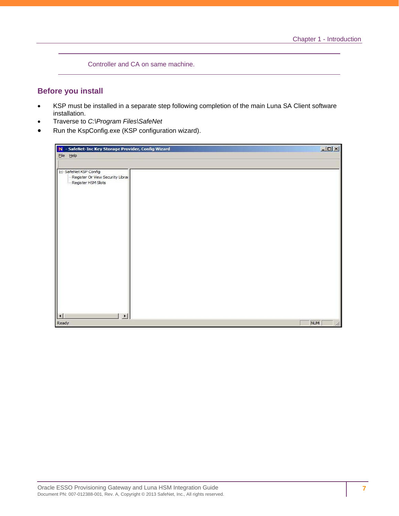Controller and CA on same machine.

#### **Before you install**

- KSP must be installed in a separate step following completion of the main Luna SA Client software installation.
- Traverse to *C:\Program Files\SafeNet*
- Run the KspConfig.exe (KSP configuration wizard).

| N - SafeNet-Inc Key Storage Provider, Config Wizard    | $-10x$     |
|--------------------------------------------------------|------------|
| Eile Help                                              |            |
|                                                        |            |
| E-SafeNet KSP Config                                   |            |
| Register Or View Security Librar<br>Register HSM Slots |            |
|                                                        |            |
|                                                        |            |
|                                                        |            |
|                                                        |            |
|                                                        |            |
|                                                        |            |
|                                                        |            |
|                                                        |            |
|                                                        |            |
|                                                        |            |
|                                                        |            |
|                                                        |            |
|                                                        |            |
|                                                        |            |
|                                                        |            |
|                                                        |            |
| $\left  \cdot \right $<br>$\blacktriangleright$        |            |
| Ready                                                  | <b>NUM</b> |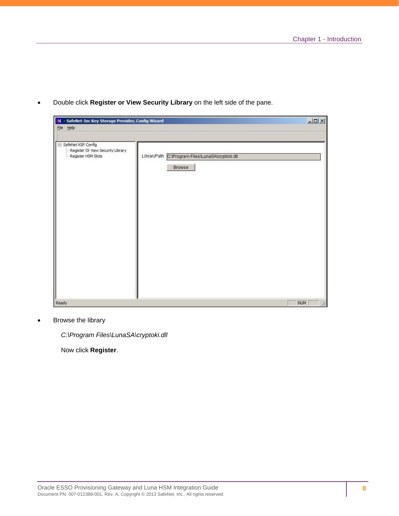| N - SafeNet-Inc Key Storage Provider, Config Wizard                             |                                                                   | $   \times$ $-$ |
|---------------------------------------------------------------------------------|-------------------------------------------------------------------|-----------------|
| File Help                                                                       |                                                                   |                 |
| E-SafeNet KSP Config<br>Register Or View Security Library<br>Register HSM Slots | LibraryPath C:\Program Files\LunaSA\cryptoki.dll<br><b>Browse</b> |                 |
| Ready                                                                           |                                                                   | NUM<br>h        |

• Double click **Register or View Security Library** on the left side of the pane.

• Browse the library

*C:\Program Files\LunaSA\cryptoki.dll*

Now click **Register**.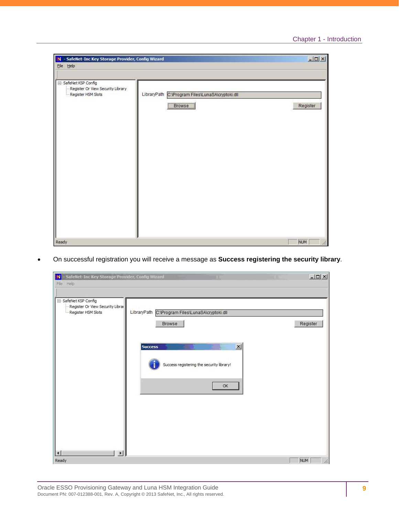| <b>N</b> - SafeNet-Inc Key Storage Provider, Config Wizard |                                                     | $-10x$   |
|------------------------------------------------------------|-----------------------------------------------------|----------|
| File Help                                                  |                                                     |          |
|                                                            |                                                     |          |
| □ SafeNet KSP Config                                       |                                                     |          |
| Register Or View Security Library<br>Register HSM Slots    | LibraryPath<br>C:\Program Files\LunaSA\cryptoki.dll |          |
|                                                            |                                                     |          |
|                                                            | Browse                                              | Register |
|                                                            |                                                     |          |
|                                                            |                                                     |          |
|                                                            |                                                     |          |
|                                                            |                                                     |          |
|                                                            |                                                     |          |
|                                                            |                                                     |          |
|                                                            |                                                     |          |
|                                                            |                                                     |          |
|                                                            |                                                     |          |
|                                                            |                                                     |          |
|                                                            |                                                     |          |
|                                                            |                                                     |          |
|                                                            |                                                     |          |
|                                                            |                                                     |          |
|                                                            |                                                     |          |
|                                                            |                                                     |          |
| Ready                                                      |                                                     | NUM<br>h |

• On successful registration you will receive a message as **Success registering the security library**.

| SafeNet-Inc Key Storage Provider, Config Wizard<br>K<br>Help<br>File                                                              |                                                                                                                                                        | $-10 \times$ |
|-----------------------------------------------------------------------------------------------------------------------------------|--------------------------------------------------------------------------------------------------------------------------------------------------------|--------------|
| □ SafeNet KSP Config<br>Register Or View Security Librar<br>Register HSM Slots<br>$\left  \cdot \right $<br>$\blacktriangleright$ | LibraryPath C:\Program Files\LunaSA\cryptoki.dll<br><b>Browse</b><br>$\mathbf{x}$<br><b>Success</b><br>Success registering the security library!<br>OK | Register     |
| Ready                                                                                                                             |                                                                                                                                                        | NUM<br>h     |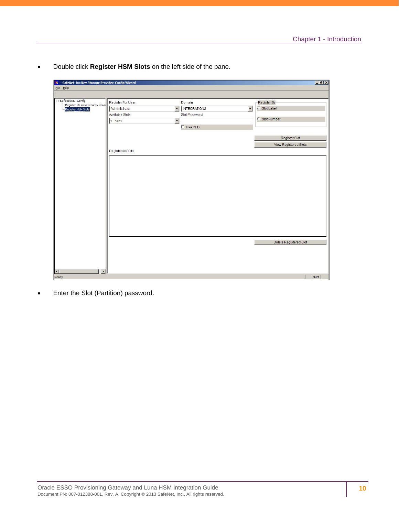| Register For User<br>Register By-<br>Domain<br>Register Or View Security Librar<br>$\blacksquare$<br>$\overline{\phantom{a}}$<br>G Slot Label<br><b>INTEGRATION2</b><br>Administrator<br>Register HSM Slots<br>Available Slots<br>Slot Password<br>C Slot Number<br>$\blacksquare$<br>1 part1<br>Use PED<br>Register Slot<br>View Registered Slots<br><b>Registered Slots</b><br>Delete Registered Slot |       |  |  |  |
|---------------------------------------------------------------------------------------------------------------------------------------------------------------------------------------------------------------------------------------------------------------------------------------------------------------------------------------------------------------------------------------------------------|-------|--|--|--|
|                                                                                                                                                                                                                                                                                                                                                                                                         |       |  |  |  |
|                                                                                                                                                                                                                                                                                                                                                                                                         |       |  |  |  |
|                                                                                                                                                                                                                                                                                                                                                                                                         |       |  |  |  |
|                                                                                                                                                                                                                                                                                                                                                                                                         |       |  |  |  |
|                                                                                                                                                                                                                                                                                                                                                                                                         |       |  |  |  |
|                                                                                                                                                                                                                                                                                                                                                                                                         |       |  |  |  |
|                                                                                                                                                                                                                                                                                                                                                                                                         |       |  |  |  |
|                                                                                                                                                                                                                                                                                                                                                                                                         |       |  |  |  |
|                                                                                                                                                                                                                                                                                                                                                                                                         |       |  |  |  |
|                                                                                                                                                                                                                                                                                                                                                                                                         |       |  |  |  |
|                                                                                                                                                                                                                                                                                                                                                                                                         |       |  |  |  |
|                                                                                                                                                                                                                                                                                                                                                                                                         |       |  |  |  |
|                                                                                                                                                                                                                                                                                                                                                                                                         |       |  |  |  |
|                                                                                                                                                                                                                                                                                                                                                                                                         |       |  |  |  |
|                                                                                                                                                                                                                                                                                                                                                                                                         |       |  |  |  |
|                                                                                                                                                                                                                                                                                                                                                                                                         |       |  |  |  |
|                                                                                                                                                                                                                                                                                                                                                                                                         |       |  |  |  |
|                                                                                                                                                                                                                                                                                                                                                                                                         |       |  |  |  |
|                                                                                                                                                                                                                                                                                                                                                                                                         |       |  |  |  |
|                                                                                                                                                                                                                                                                                                                                                                                                         |       |  |  |  |
|                                                                                                                                                                                                                                                                                                                                                                                                         |       |  |  |  |
|                                                                                                                                                                                                                                                                                                                                                                                                         |       |  |  |  |
|                                                                                                                                                                                                                                                                                                                                                                                                         |       |  |  |  |
|                                                                                                                                                                                                                                                                                                                                                                                                         |       |  |  |  |
|                                                                                                                                                                                                                                                                                                                                                                                                         |       |  |  |  |
|                                                                                                                                                                                                                                                                                                                                                                                                         |       |  |  |  |
|                                                                                                                                                                                                                                                                                                                                                                                                         |       |  |  |  |
|                                                                                                                                                                                                                                                                                                                                                                                                         |       |  |  |  |
|                                                                                                                                                                                                                                                                                                                                                                                                         |       |  |  |  |
|                                                                                                                                                                                                                                                                                                                                                                                                         |       |  |  |  |
|                                                                                                                                                                                                                                                                                                                                                                                                         |       |  |  |  |
|                                                                                                                                                                                                                                                                                                                                                                                                         |       |  |  |  |
|                                                                                                                                                                                                                                                                                                                                                                                                         |       |  |  |  |
|                                                                                                                                                                                                                                                                                                                                                                                                         |       |  |  |  |
|                                                                                                                                                                                                                                                                                                                                                                                                         |       |  |  |  |
|                                                                                                                                                                                                                                                                                                                                                                                                         |       |  |  |  |
|                                                                                                                                                                                                                                                                                                                                                                                                         |       |  |  |  |
|                                                                                                                                                                                                                                                                                                                                                                                                         |       |  |  |  |
|                                                                                                                                                                                                                                                                                                                                                                                                         |       |  |  |  |
|                                                                                                                                                                                                                                                                                                                                                                                                         |       |  |  |  |
|                                                                                                                                                                                                                                                                                                                                                                                                         |       |  |  |  |
|                                                                                                                                                                                                                                                                                                                                                                                                         |       |  |  |  |
|                                                                                                                                                                                                                                                                                                                                                                                                         |       |  |  |  |
|                                                                                                                                                                                                                                                                                                                                                                                                         |       |  |  |  |
|                                                                                                                                                                                                                                                                                                                                                                                                         |       |  |  |  |
|                                                                                                                                                                                                                                                                                                                                                                                                         |       |  |  |  |
|                                                                                                                                                                                                                                                                                                                                                                                                         |       |  |  |  |
|                                                                                                                                                                                                                                                                                                                                                                                                         |       |  |  |  |
|                                                                                                                                                                                                                                                                                                                                                                                                         |       |  |  |  |
|                                                                                                                                                                                                                                                                                                                                                                                                         |       |  |  |  |
|                                                                                                                                                                                                                                                                                                                                                                                                         |       |  |  |  |
| NUM                                                                                                                                                                                                                                                                                                                                                                                                     | Ready |  |  |  |

• Double click **Register HSM Slots** on the left side of the pane.

• Enter the Slot (Partition) password.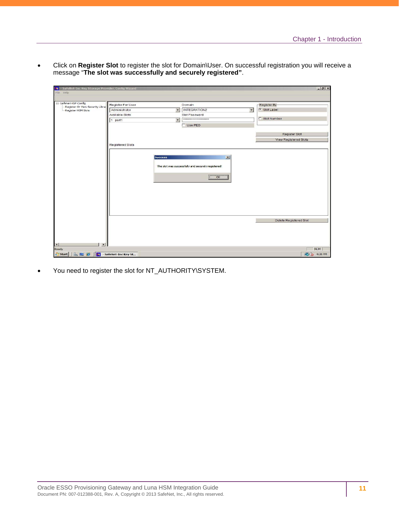• Click on **Register Slot** to register the slot for Domain\User. On successful registration you will receive a message "**The slot was successfully and securely registered"**.

| N - SafeNet-Inc Key Storage Provider, Config Wizard<br>File Help |                                           |                                          | $-10 \times$                 |
|------------------------------------------------------------------|-------------------------------------------|------------------------------------------|------------------------------|
| SafeNet KSP Config<br>Register Or View Security Librar           | Register For User                         | Domain                                   | Register By                  |
| Register HSM Slots                                               | $\overline{\phantom{a}}$<br>Administrator | INTEGRATION2<br>$\overline{\phantom{a}}$ | G Slot Label                 |
|                                                                  | Available Slots                           | Slot Password                            |                              |
|                                                                  | $\overline{\phantom{a}}$<br>1 part1       | *******************                      | C Slot Number                |
|                                                                  |                                           | Use PED                                  |                              |
|                                                                  |                                           |                                          | Register Slot                |
|                                                                  |                                           |                                          | <b>View Registered Slots</b> |
|                                                                  | Registered Slots                          |                                          |                              |
|                                                                  |                                           | OK                                       |                              |
| $\left  \cdot \right $                                           |                                           |                                          | Delete Registered Slot       |
| Ready                                                            |                                           |                                          | NUM                          |
| Start                                                            | <b>EL @ N</b> - SafeNet-Inc Key St        |                                          | 4:26 PM                      |

You need to register the slot for NT\_AUTHORITY\SYSTEM.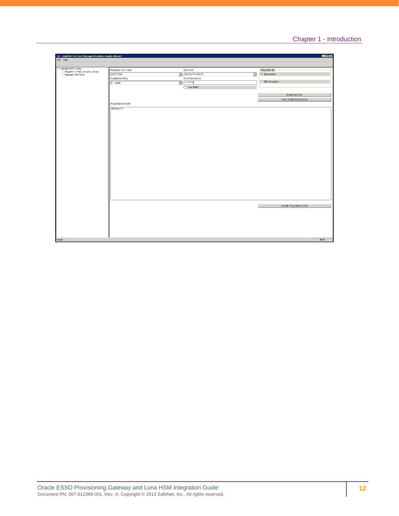#### Chapter 1 - Introduction

| IN - SafeNet-Inc Key Storage Provider, Config Wizard<br>File Help |                   |                |                |                          |                        |
|-------------------------------------------------------------------|-------------------|----------------|----------------|--------------------------|------------------------|
|                                                                   |                   |                |                |                          |                        |
| □ SafeNet KSP Config                                              | Register For User |                | Domain         |                          | -Register By-          |
| Register Or View Security Library                                 | SYSTEM            |                | T NT AUTHORITY | $\overline{\phantom{a}}$ | G Slot Label           |
| Register HSM Slots                                                | Available Slots   |                | Slot Password  |                          |                        |
|                                                                   | part1<br>I1.      | $\blacksquare$ | ********       |                          | C Slot Number          |
|                                                                   |                   |                | $\Box$ Use PED |                          |                        |
|                                                                   |                   |                |                |                          |                        |
|                                                                   |                   |                |                |                          | Register Slot          |
|                                                                   |                   |                |                |                          | View Registered Slots  |
|                                                                   | Registered Slots  |                |                |                          |                        |
|                                                                   | SlotNum:1         |                |                |                          |                        |
|                                                                   |                   |                |                |                          |                        |
|                                                                   |                   |                |                |                          |                        |
|                                                                   |                   |                |                |                          |                        |
|                                                                   |                   |                |                |                          |                        |
|                                                                   |                   |                |                |                          |                        |
|                                                                   |                   |                |                |                          |                        |
|                                                                   |                   |                |                |                          |                        |
|                                                                   |                   |                |                |                          |                        |
|                                                                   |                   |                |                |                          |                        |
|                                                                   |                   |                |                |                          |                        |
|                                                                   |                   |                |                |                          |                        |
|                                                                   |                   |                |                |                          |                        |
|                                                                   |                   |                |                |                          |                        |
|                                                                   |                   |                |                |                          |                        |
|                                                                   |                   |                |                |                          |                        |
|                                                                   |                   |                |                |                          |                        |
|                                                                   |                   |                |                |                          |                        |
|                                                                   |                   |                |                |                          |                        |
|                                                                   |                   |                |                |                          |                        |
|                                                                   |                   |                |                |                          |                        |
|                                                                   |                   |                |                |                          |                        |
|                                                                   |                   |                |                |                          |                        |
|                                                                   |                   |                |                |                          |                        |
|                                                                   |                   |                |                |                          |                        |
|                                                                   |                   |                |                |                          |                        |
|                                                                   |                   |                |                |                          |                        |
|                                                                   |                   |                |                |                          |                        |
|                                                                   |                   |                |                |                          |                        |
|                                                                   |                   |                |                |                          |                        |
|                                                                   |                   |                |                |                          |                        |
|                                                                   |                   |                |                |                          | Delete Registered Slot |
|                                                                   |                   |                |                |                          |                        |
|                                                                   |                   |                |                |                          |                        |
|                                                                   |                   |                |                |                          |                        |
|                                                                   |                   |                |                |                          |                        |
|                                                                   |                   |                |                |                          |                        |
|                                                                   |                   |                |                |                          |                        |
|                                                                   |                   |                |                |                          |                        |
|                                                                   |                   |                |                |                          |                        |
|                                                                   |                   |                |                |                          |                        |
|                                                                   |                   |                |                |                          |                        |
|                                                                   |                   |                |                |                          | NUM                    |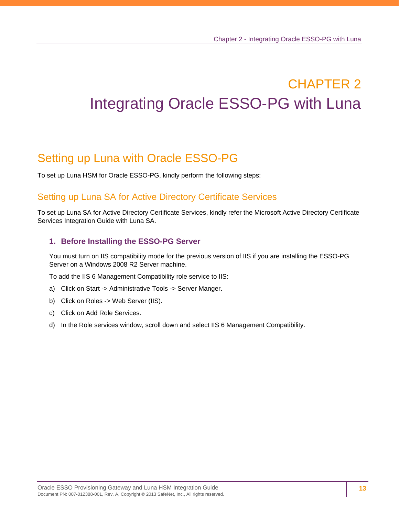# <span id="page-12-0"></span>CHAPTER 2 Integrating Oracle ESSO-PG with Luna

### Setting up Luna with Oracle ESSO-PG

To set up Luna HSM for Oracle ESSO-PG, kindly perform the following steps:

#### Setting up Luna SA for Active Directory Certificate Services

To set up Luna SA for Active Directory Certificate Services, kindly refer the Microsoft Active Directory Certificate Services Integration Guide with Luna SA.

#### **1. Before Installing the ESSO-PG Server**

You must turn on IIS compatibility mode for the previous version of IIS if you are installing the ESSO-PG Server on a Windows 2008 R2 Server machine.

To add the IIS 6 Management Compatibility role service to IIS:

- a) Click on Start -> Administrative Tools -> Server Manger.
- b) Click on Roles -> Web Server (IIS).
- c) Click on Add Role Services.
- d) In the Role services window, scroll down and select IIS 6 Management Compatibility.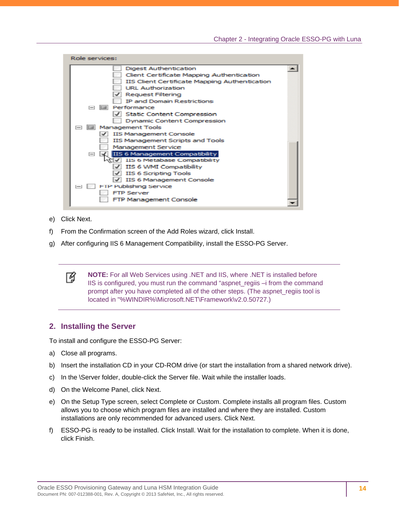

- e) Click Next.
- f) From the Confirmation screen of the Add Roles wizard, click Install.
- g) After configuring IIS 6 Management Compatibility, install the ESSO-PG Server.



**NOTE:** For all Web Services using .NET and IIS, where .NET is installed before IIS is configured, you must run the command "aspnet\_regiis –i from the command prompt after you have completed all of the other steps. (The aspnet\_regiis tool is located in "%WINDIR%\Microsoft.NET\Framework\v2.0.50727.)

#### **2. Installing the Server**

To install and configure the ESSO-PG Server:

- a) Close all programs.
- b) Insert the installation CD in your CD-ROM drive (or start the installation from a shared network drive).
- c) In the \Server folder, double-click the Server file. Wait while the installer loads.
- d) On the Welcome Panel, click Next.
- e) On the Setup Type screen, select Complete or Custom. Complete installs all program files. Custom allows you to choose which program files are installed and where they are installed. Custom installations are only recommended for advanced users. Click Next.
- f) ESSO-PG is ready to be installed. Click Install. Wait for the installation to complete. When it is done, click Finish.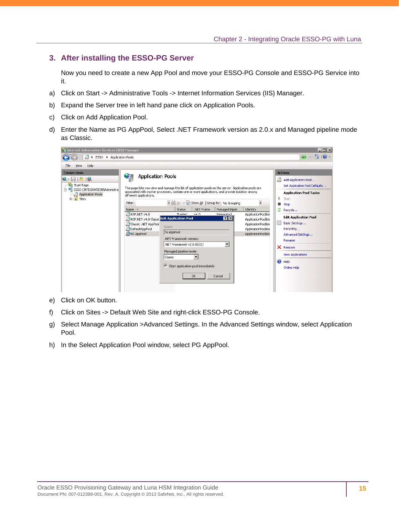#### **3. After installing the ESSO-PG Server**

Now you need to create a new App Pool and move your ESSO-PG Console and ESSO-PG Service into it.

- a) Click on Start -> Administrative Tools -> Internet Information Services (IIS) Manager.
- b) Expand the Server tree in left hand pane click on Application Pools.
- c) Click on Add Application Pool.
- d) Enter the Name as PG AppPool, Select .NET Framework version as 2.0.x and Managed pipeline mode as Classic.

| <b>Le Internet Information Services (IIS) Manager</b>                                                                                      |                                                                                                                                                                                                                                                                                                                                                                                                                                                                                                                                                                                                                                                                                                                                                                                                                                                                         | $ \Box$ $\times$                                                                                                                                                                                                                                                                                                                   |
|--------------------------------------------------------------------------------------------------------------------------------------------|-------------------------------------------------------------------------------------------------------------------------------------------------------------------------------------------------------------------------------------------------------------------------------------------------------------------------------------------------------------------------------------------------------------------------------------------------------------------------------------------------------------------------------------------------------------------------------------------------------------------------------------------------------------------------------------------------------------------------------------------------------------------------------------------------------------------------------------------------------------------------|------------------------------------------------------------------------------------------------------------------------------------------------------------------------------------------------------------------------------------------------------------------------------------------------------------------------------------|
| ▶ ESSO ▶ Application Pools<br>Ð                                                                                                            |                                                                                                                                                                                                                                                                                                                                                                                                                                                                                                                                                                                                                                                                                                                                                                                                                                                                         | $\bullet \times \cap \bullet$                                                                                                                                                                                                                                                                                                      |
| View<br>Help<br>File                                                                                                                       |                                                                                                                                                                                                                                                                                                                                                                                                                                                                                                                                                                                                                                                                                                                                                                                                                                                                         |                                                                                                                                                                                                                                                                                                                                    |
| <b>Connections</b><br>$\bullet$ $\Box$ $\beta$<br>Start Page<br>E-G ESSO (INTEGRATION\Administral<br><b>Application Pools</b><br>E o Sites | Application Pools<br>This page lets you view and manage the list of application pools on the server. Application pools are<br>associated with worker processes, contain one or more applications, and provide isolation among<br>different applications.<br>v Go v Show All Group by: No Grouping<br>Filter:<br>.NET Frame   Managed Pipeli<br>Status<br>Identity<br>Name $-$<br>ASP.NET v4.0<br>Started<br>v4n<br>Integrated<br>ApplicationPoolIde<br><u> ? X</u><br>ASP.NET v4.0 Classic Edit Application Pool<br>ApplicationPoolIde<br>Classic .NET AppPool<br>ApplicationPoolIde<br>Name:<br>DefaultAppPool<br>ApplicationPoolIde<br>S AppPool<br>PG AppPool<br>ApplicationPoolIde<br>.NET Framework version:<br>$\blacktriangledown$<br>.NET Framework v2.0.50727<br>Managed pipeline mode:<br>Classic<br>⊽<br>Start application pool immediately<br>OK.<br>Cancel | <b>Actions</b><br>Add Application Pool<br>Set Application Pool Defaults<br><b>Application Pool Tasks</b><br>Þ<br>Start<br>Stop<br>e<br>Recycle<br><b>Edit Application Pool</b><br>E<br>Basic Settings<br>Recycling<br>Advanced Settings<br>Rename<br><b>X</b> Remove<br><b>View Applications</b><br>$\odot$<br>Help<br>Online Help |

- e) Click on OK button.
- f) Click on Sites -> Default Web Site and right-click ESSO-PG Console.
- g) Select Manage Application >Advanced Settings. In the Advanced Settings window, select Application Pool.
- h) In the Select Application Pool window, select PG AppPool.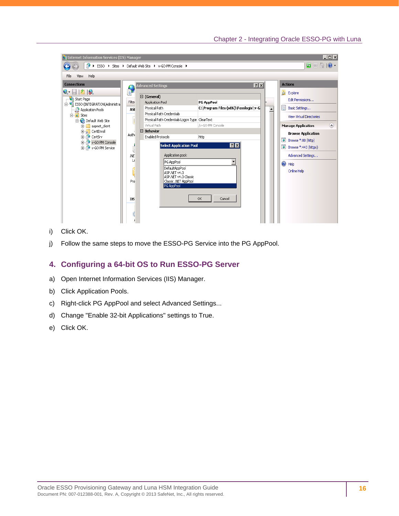| Internet Information Services (IIS) Manager                                                                                                                                                                                                                                                                                            |                                                                                                                                                                                                                                                                                                                                                                                                             |                                                                                                                                                 | $\Box$                                                                                                                                                                                                                                                                                                                                       |
|----------------------------------------------------------------------------------------------------------------------------------------------------------------------------------------------------------------------------------------------------------------------------------------------------------------------------------------|-------------------------------------------------------------------------------------------------------------------------------------------------------------------------------------------------------------------------------------------------------------------------------------------------------------------------------------------------------------------------------------------------------------|-------------------------------------------------------------------------------------------------------------------------------------------------|----------------------------------------------------------------------------------------------------------------------------------------------------------------------------------------------------------------------------------------------------------------------------------------------------------------------------------------------|
| $\cdot$ $\bullet$                                                                                                                                                                                                                                                                                                                      | ▶ ESSO ▶ Sites ▶ Default Web Site ▶ v-GO PM Console ▶                                                                                                                                                                                                                                                                                                                                                       |                                                                                                                                                 | $\bullet \times \bullet \bullet$                                                                                                                                                                                                                                                                                                             |
| Help<br>File<br>View                                                                                                                                                                                                                                                                                                                   |                                                                                                                                                                                                                                                                                                                                                                                                             |                                                                                                                                                 |                                                                                                                                                                                                                                                                                                                                              |
| <b>Connections</b><br>î<br>$Q$ $  2 8$<br>Start Page<br>Filter<br>□ G ESSO (INTEGRATION\Administra<br><b>ASI</b><br><b>Application Pools</b><br>$\Box$ Sites<br>Default Web Site<br>由…<br>m<br>aspnet client<br>CertEnroll<br>Ė<br>Auth<br>Ėŀ<br><b>CertSrv</b><br>Ė.<br>y-GO PM Console<br>V-GO PM Service<br>.NE<br>Le<br>Pro<br>II5 | <b>Advanced Settings</b><br>$\Box$ (General)<br>Application Pool<br>Physical Path<br>Physical Path Credentials<br>Physical Path Credentials Logon Type   ClearText<br>Virtual Path<br>$\boxminus$ Behavior<br><b>Enabled Protocols</b><br><b>Select Application Pool</b><br>Application pool:<br>PG AppPool<br>DefaultAppPool<br>ASP.NET v4.0<br>ASP.NET v4.0 Classic<br>Classic .NET AppPool<br>PG AppPool | ? X <br>PG AppPool<br>C:\Program Files (x86)\Passlogix\v-G<br>/v-GO PM Console<br>http<br><b>78</b><br>$\overline{\phantom{0}}$<br>OK<br>Cancel | <b>Actions</b><br>$\rho$ Explore<br>Edit Permissions<br>画<br>Basic Settings<br>$\blacktriangle$<br><b>View Virtual Directories</b><br>$\left( \mathbf{v}\right)$<br><b>Manage Application</b><br><b>Browse Application</b><br>Browse *: 80 (http)<br><sup>O</sup> Browse *: 443 (https)<br>Advanced Settings<br><b>O</b> Help<br>Online Help |

- i) Click OK.
- j) Follow the same steps to move the ESSO-PG Service into the PG AppPool.

#### **4. Configuring a 64-bit OS to Run ESSO-PG Server**

- a) Open Internet Information Services (IIS) Manager.
- b) Click Application Pools.
- c) Right-click PG AppPool and select Advanced Settings...
- d) Change "Enable 32-bit Applications" settings to True.
- e) Click OK.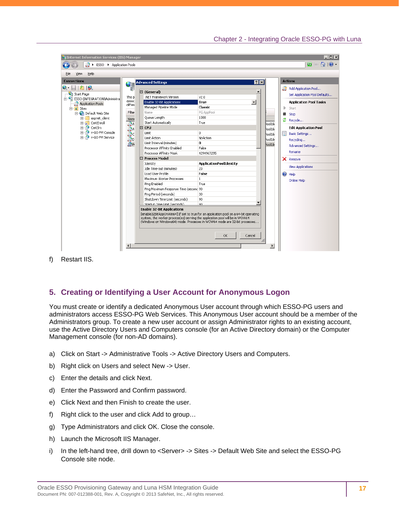| Help<br>View<br>File                                                                                                                                                                                                                                                        |                                                                     |                                                                                                                                                                                                                                                                                                                                 |                                                                                                                                                                                                                                                                              |                                                       |                             |                                                                                                                                                                                        |
|-----------------------------------------------------------------------------------------------------------------------------------------------------------------------------------------------------------------------------------------------------------------------------|---------------------------------------------------------------------|---------------------------------------------------------------------------------------------------------------------------------------------------------------------------------------------------------------------------------------------------------------------------------------------------------------------------------|------------------------------------------------------------------------------------------------------------------------------------------------------------------------------------------------------------------------------------------------------------------------------|-------------------------------------------------------|-----------------------------|----------------------------------------------------------------------------------------------------------------------------------------------------------------------------------------|
| <b>Connections</b><br>$\mathbf{e}$ $\mathbf{H}$ $\mathbf{B}$<br>Start Page<br>E-G ESSO (INTEGRATION\Administra<br><b>Application Pools</b><br>白 o Sites<br>Default Web Site<br>E aspnet_client<br><b>E</b> <sub>r</sub> CertEnroll<br><b>E</b> CertSrv<br>由 v-GO PM Console | This p<br>assoc<br>differi<br>Filter<br>Name<br>ė.<br>Ō.<br>ă.<br>Ô | <b>Advanced Settings</b><br>$\Box$ (General)<br>.NET Framework Version<br>Enable 32-Bit Applications<br>Managed Pipeline Mode<br>Name<br>Queue Length<br>Start Automatically<br>$\boxminus$ CPU<br>Limit                                                                                                                        | v2.0<br>$\overline{\phantom{a}}$<br><b>True</b><br>Classic<br>PG AppPool<br>1000<br>True<br>O.                                                                                                                                                                               | 7x<br>PoolIde<br>PoolIde<br>PoolIde                   | 廬<br>$\mathbb{D}$<br>t<br>画 | <b>Actions</b><br>Add Application Pool<br>Set Application Pool Defaults<br><b>Application Pool Tasks</b><br>Start<br>Stop<br>Recycle<br><b>Edit Application Pool</b><br>Basic Settings |
| E v-GO PM Service                                                                                                                                                                                                                                                           | <b>虚P</b>                                                           | Limit Action<br>Limit Interval (minutes)<br>Processor Affinity Enabled<br>Processor Affinity Mask<br>□ Process Model<br>Identity<br>Idle Time-out (minutes)<br>Load User Profile<br>Maximum Worker Processes<br>Ping Enabled<br>Ping Maximum Response Time (second 90<br>Ping Period (seconds)<br>Shutdown Time Limit (seconds) | NoAction<br>0<br>False<br>4294967295<br><b>ApplicationPoolIdentity</b><br>20<br>False<br>$\mathbf{1}$<br>True<br>30<br>90                                                                                                                                                    | <b>PoolIde</b><br>PoolIde<br>$\overline{\phantom{a}}$ | $\odot$                     | Recycling<br>Advanced Settings<br>Rename<br><b>X</b> Remove<br><b>View Applications</b><br>Help<br>Online Help                                                                         |
|                                                                                                                                                                                                                                                                             |                                                                     | Startun Time Limit (seconds)<br><b>Enable 32-Bit Applications</b>                                                                                                                                                                                                                                                               | $90 -$<br>[enable32BitAppOnWin64] If set to true for an application pool on a 64-bit operating<br>system, the worker process(es) serving the application pool will be in WOW64<br>(Windows on Windows64) mode. Processes in WOW64 mode are 32-bit processes<br>OK.<br>Cancel | h                                                     |                             |                                                                                                                                                                                        |

f) Restart IIS.

#### **5. Creating or Identifying a User Account for Anonymous Logon**

You must create or identify a dedicated Anonymous User account through which ESSO-PG users and administrators access ESSO-PG Web Services. This Anonymous User account should be a member of the Administrators group. To create a new user account or assign Administrator rights to an existing account, use the Active Directory Users and Computers console (for an Active Directory domain) or the Computer Management console (for non-AD domains).

- a) Click on Start -> Administrative Tools -> Active Directory Users and Computers.
- b) Right click on Users and select New -> User.
- c) Enter the details and click Next.

Ne Internet Information Cervices (IIC) Manager

- d) Enter the Password and Confirm password.
- e) Click Next and then Finish to create the user.
- f) Right click to the user and click Add to group…
- g) Type Administrators and click OK. Close the console.
- h) Launch the Microsoft IIS Manager.
- i) In the left-hand tree, drill down to <Server> -> Sites -> Default Web Site and select the ESSO-PG Console site node.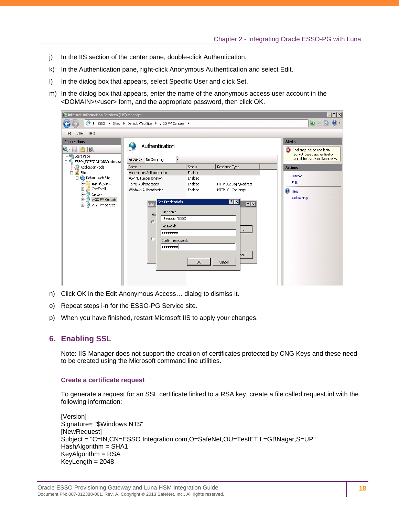- j) In the IIS section of the center pane, double-click Authentication.
- k) In the Authentication pane, right-click Anonymous Authentication and select Edit.
- l) In the dialog box that appears, select Specific User and click Set.
- m) In the dialog box that appears, enter the name of the anonymous access user account in the <DOMAIN>\<user> form, and the appropriate password, then click OK.

| <b>E</b> Internet Information Services (IIS) Manager                                                                                                         |                                                                                                                                                                                                                                                              |                                                 |                                                                                                | $ \Box$ $\times$                                                                                              |
|--------------------------------------------------------------------------------------------------------------------------------------------------------------|--------------------------------------------------------------------------------------------------------------------------------------------------------------------------------------------------------------------------------------------------------------|-------------------------------------------------|------------------------------------------------------------------------------------------------|---------------------------------------------------------------------------------------------------------------|
| $\cdot$ $\bullet$                                                                                                                                            | ▶ ESSO ▶ Sites ▶ Default Web Site ▶ v-GO PM Console ▶                                                                                                                                                                                                        |                                                 |                                                                                                | $\mathbf{c}_2$ $\infty$<br>合上<br>$\boldsymbol{Q}$ .                                                           |
| Help<br>View<br>File                                                                                                                                         |                                                                                                                                                                                                                                                              |                                                 |                                                                                                |                                                                                                               |
| <b>Connections</b><br>$\mathbf{G}$ $\mathbf{H}$ $\mathbf{E}$ $\mathbf{R}$<br>Start Page<br>E-G ESSO (INTEGRATION\Administral                                 | Authentication<br>î<br>$\ddot{\phantom{0}}$<br>Group by: No Grouping                                                                                                                                                                                         |                                                 |                                                                                                | <b>Alerts</b><br>Challenge-based and login<br>redirect-based authentication<br>cannot be used simultaneously. |
| <b>Application Pools</b>                                                                                                                                     | Name $-$                                                                                                                                                                                                                                                     | <b>Status</b>                                   | Response Type                                                                                  | <b>Actions</b>                                                                                                |
| <b>E</b> Sites<br>Default Web Site<br>aspnet_client<br>Ėŀ<br>٦<br>CertEnroll<br>Ė<br>Ė<br>CertSrv<br>ė<br>€<br>v-GO PM Console<br>Ė.<br>ð<br>v-GO PM Service | Anonymous Authentication<br>ASP.NET Impersonation<br>Forms Authentication<br>Windows Authentication<br><b>Set Credentials</b><br><b>Edit</b><br>User name:<br>An <sub>t</sub><br>Integration\ESSO<br>$\sigma$<br>Password:<br><br>O<br>Confirm password:<br> | Enabled<br>Enabled<br>Enabled<br>Enabled<br>OK. | HTTP 302 Login/Redirect<br>HTTP 401 Challenge<br> 7 X <br>7x<br>$\mathbf{r}$<br>hcel<br>Cancel | Disable<br>Edit<br>$\circledcirc$<br>Help<br>Online Help                                                      |

- n) Click OK in the Edit Anonymous Access… dialog to dismiss it.
- o) Repeat steps i-n for the ESSO-PG Service site.
- p) When you have finished, restart Microsoft IIS to apply your changes.

#### **6. Enabling SSL**

Note: IIS Manager does not support the creation of certificates protected by CNG Keys and these need to be created using the Microsoft command line utilities.

#### **Create a certificate request**

To generate a request for an SSL certificate linked to a RSA key, create a file called request.inf with the following information:

```
[Version]
Signature= "$Windows NT$" 
[NewRequest] 
Subject = "C=IN,CN=ESSO.Integration.com,O=SafeNet,OU=TestET,L=GBNagar,S=UP" 
HashAlgorithm = SHA1 
KeyAlgorithm = RSAKeyLength = 2048
```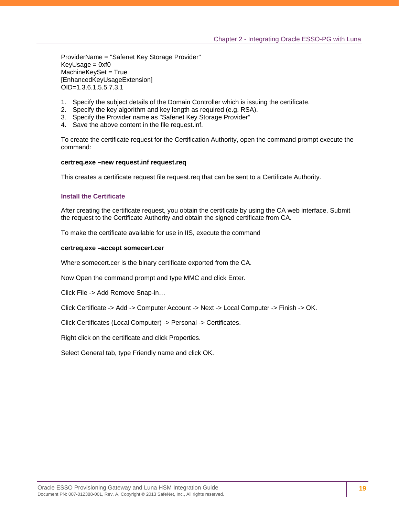ProviderName = "Safenet Key Storage Provider" KeyUsage = 0xf0 MachineKeySet = True [EnhancedKeyUsageExtension] OID=1.3.6.1.5.5.7.3.1

- 1. Specify the subject details of the Domain Controller which is issuing the certificate.
- 2. Specify the key algorithm and key length as required (e.g. RSA).
- 3. Specify the Provider name as "Safenet Key Storage Provider"
- 4. Save the above content in the file request.inf.

To create the certificate request for the Certification Authority, open the command prompt execute the command:

#### **certreq.exe –new request.inf request.req**

This creates a certificate request file request.req that can be sent to a Certificate Authority.

#### **Install the Certificate**

After creating the certificate request, you obtain the certificate by using the CA web interface. Submit the request to the Certificate Authority and obtain the signed certificate from CA.

To make the certificate available for use in IIS, execute the command

#### **certreq.exe –accept somecert.cer**

Where somecert.cer is the binary certificate exported from the CA.

Now Open the command prompt and type MMC and click Enter.

Click File -> Add Remove Snap-in…

Click Certificate -> Add -> Computer Account -> Next -> Local Computer -> Finish -> OK.

Click Certificates (Local Computer) -> Personal -> Certificates.

Right click on the certificate and click Properties.

Select General tab, type Friendly name and click OK.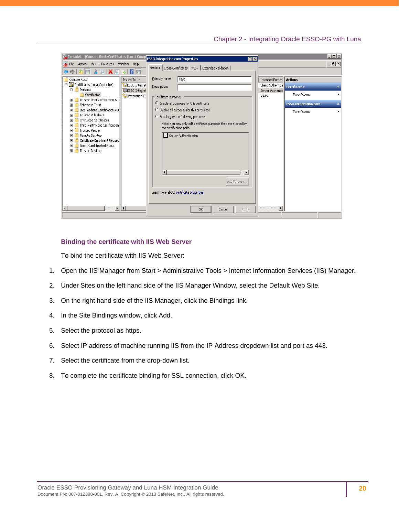| 素 Console1 - [Console Root\Certificates (Local Comp <b>ESSO,Integration.com Properties</b>                                                                                                                                                | 7x                                                                                                                                                                                                                          |                                       | $\Box$ D $\Box$             |  |
|-------------------------------------------------------------------------------------------------------------------------------------------------------------------------------------------------------------------------------------------|-----------------------------------------------------------------------------------------------------------------------------------------------------------------------------------------------------------------------------|---------------------------------------|-----------------------------|--|
| Action View Favorites Window Help<br>File                                                                                                                                                                                                 | General   Cross-Certificates   OCSP   Extended Validation                                                                                                                                                                   |                                       | $-12$ $\times$              |  |
| $\langle 4 \rangle$<br>$ \times$ $\Box$<br>$ ? $ in<br>扁<br>ls.                                                                                                                                                                           |                                                                                                                                                                                                                             |                                       |                             |  |
| Console Root<br>Issued To $\triangleq$                                                                                                                                                                                                    | Friendly name:<br>Test                                                                                                                                                                                                      | Intended Purpos                       | <b>Actions</b>              |  |
| Certificates (Local Computer)<br>E ESSO. Integral<br>Personal<br>$\Box$<br>ESSO.Integral                                                                                                                                                  | Description:                                                                                                                                                                                                                | Client Authentica<br>Server Authentic | <b>Certificates</b>         |  |
| Certificates<br>Integration-ES<br>Trusted Root Certification Aut                                                                                                                                                                          | Certificate purposes                                                                                                                                                                                                        | $<$ All $>$                           | More Actions                |  |
| Ŧ<br>Enterprise Trust<br>$\overline{+}$                                                                                                                                                                                                   | C Enable all purposes for this certificate                                                                                                                                                                                  |                                       | <b>ESSO.Integration.com</b> |  |
| Intermediate Certification Aut<br>$\overline{+}$<br><b>Trusted Publishers</b><br>$\overline{+}$                                                                                                                                           | C Disable all purposes for this certificate<br>C Enable only the following purposes                                                                                                                                         |                                       | More Actions                |  |
| <b>Untrusted Certificates</b><br>ஈ<br>Third-Party Root Certification<br>Trusted People<br>$\overline{+}$<br>Remote Desktop<br>$\overline{+}$<br>Certificate Enrollment Request<br>曱<br>Smart Card Trusted Roots<br><b>Trusted Devices</b> | Note: You may only edit certificate purposes that are allowed by<br>the certification path.<br>Server Authentication<br>$\left  \right $<br>$\blacktriangleright$<br>Add Purpose<br>Learn more about certificate properties |                                       |                             |  |
| $\blacktriangleright$ $  \cdot  $<br>$\overline{4}$                                                                                                                                                                                       | <b>OK</b><br>Cancel<br>Apply                                                                                                                                                                                                | $\blacktriangleright$                 |                             |  |

#### **Binding the certificate with IIS Web Server**

To bind the certificate with IIS Web Server:

- 1. Open the IIS Manager from Start > Administrative Tools > Internet Information Services (IIS) Manager.
- 2. Under Sites on the left hand side of the IIS Manager Window, select the Default Web Site.
- 3. On the right hand side of the IIS Manager, click the Bindings link.
- 4. In the Site Bindings window, click Add.
- 5. Select the protocol as https.
- 6. Select IP address of machine running IIS from the IP Address dropdown list and port as 443.
- 7. Select the certificate from the drop-down list.
- 8. To complete the certificate binding for SSL connection, click OK.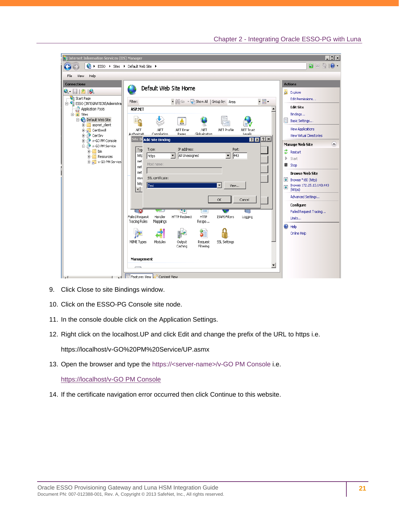| <b>CE</b> Internet Information Services (IIS) Manager                                                                                                                                                                                                                                         |                                                                                                                                                                                                                                                                                                                                                                                                                                                                                                     | $\Box$ D $\Box$                                                                                                                                                                                                                                                                                                                   |
|-----------------------------------------------------------------------------------------------------------------------------------------------------------------------------------------------------------------------------------------------------------------------------------------------|-----------------------------------------------------------------------------------------------------------------------------------------------------------------------------------------------------------------------------------------------------------------------------------------------------------------------------------------------------------------------------------------------------------------------------------------------------------------------------------------------------|-----------------------------------------------------------------------------------------------------------------------------------------------------------------------------------------------------------------------------------------------------------------------------------------------------------------------------------|
| → ESSO → Sites → Default Web Site →                                                                                                                                                                                                                                                           |                                                                                                                                                                                                                                                                                                                                                                                                                                                                                                     | $\bullet \times \bullet \bullet$                                                                                                                                                                                                                                                                                                  |
| View<br>Help<br>File                                                                                                                                                                                                                                                                          |                                                                                                                                                                                                                                                                                                                                                                                                                                                                                                     |                                                                                                                                                                                                                                                                                                                                   |
| <b>Connections</b><br>$G - 128$                                                                                                                                                                                                                                                               | Default Web Site Home                                                                                                                                                                                                                                                                                                                                                                                                                                                                               | <b>Actions</b>                                                                                                                                                                                                                                                                                                                    |
| Start Page                                                                                                                                                                                                                                                                                    | $\bullet$ $\overline{\Xi\Xi}$ $\bullet$<br>- Go - Show All Group by: Area<br>Filter:                                                                                                                                                                                                                                                                                                                                                                                                                | Explore<br>þ.<br>Edit Permissions                                                                                                                                                                                                                                                                                                 |
| E-G ESSO (INTEGRATION\Administral<br><b>Application Pools</b><br>$-$ 8 Sites<br>Default Web Site<br>E- <sup>1</sup> aspnet_dient<br>E-R CertEnroll<br><b>E</b> CertSrv<br>E v-GO PM Console<br>D- <sup>1</sup> v-GO PM Service<br><b>E-Fill</b> bin<br><b>E-</b> Resources<br>V-GO PM Service | <b>ASP.NET</b><br>≔n<br>$\frac{4}{404}$<br>.NET<br><b>NET</b><br>.NET Error<br>.NET Profile<br>.NET<br>.NET Trust<br>Authorizati<br>Compilation<br>Globalization<br>Levels<br>Panec<br><u>? x ? x</u><br><b>Site Bi</b><br>Add Site Binding<br>IP address:<br>Port:<br>Type:<br>Typ<br>All Unassigned<br>443<br>▾<br>http<br>https<br>$\blacktriangledown$<br>net<br>Host name:<br>net<br>net<br>SSL certificate:<br>msn<br>http<br> Test<br>$\blacktriangledown$<br>View<br>$\left  \cdot \right $ | <b>Edit Site</b><br>Bindings<br>G<br>Basic Settings<br><b>View Applications</b><br><b>View Virtual Directories</b><br>$\left( \infty \right)$<br><b>Manage Web Site</b><br>$2$ Restart<br>Þ<br>Start<br>Stop<br>■<br><b>Browse Web Site</b><br>Browse *: 80 (http)<br>Browse 172.25.13.148:443<br>$\overline{\bullet}$<br>(https) |
|                                                                                                                                                                                                                                                                                               | OK<br>Cancel<br>- 11<br>90<br>⋿⋈<br>Failed Request<br>Handler<br><b>HTTP</b><br><b>HTTP Redirect</b><br><b>ISAPI Filters</b><br>Logging<br><b>Tracing Rules</b><br>Mappings<br>Respo<br>≋<br>神<br>Modules<br>MIME Types<br><b>SSL Settings</b><br>Output<br>Request<br>Caching<br>Filtering<br>Management<br>▼<br><b>FET</b> Features View <b>FE</b> Content View                                                                                                                                   | Advanced Settings<br>Configure<br>Failed Request Tracing<br>Limits<br>$\mathbf Q$<br>Help<br>Online Help                                                                                                                                                                                                                          |

- 9. Click Close to site Bindings window.
- 10. Click on the ESSO-PG Console site node.
- 11. In the console double click on the Application Settings.
- 12. Right click on the localhost.UP and click Edit and change the prefix of the URL to https i.e. https://localhost/v-GO%20PM%20Service/UP.asmx
- 13. Open the browser and type the https://<server-name>/v-GO PM Console i.e.

[https://localhost/v-GO PM Console](https://localhost/v-GO)

14. If the certificate navigation error occurred then click Continue to this website.